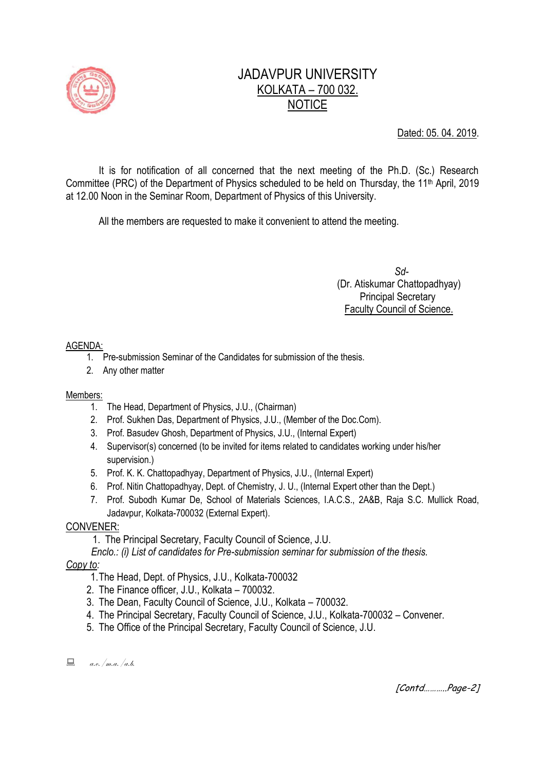

# JADAVPUR UNIVERSITY KOLKATA – 700 032. **NOTICE**

Dated: 05. 04. 2019.

It is for notification of all concerned that the next meeting of the Ph.D. (Sc.) Research Committee (PRC) of the Department of Physics scheduled to be held on Thursday, the 11<sup>th</sup> April, 2019 at 12.00 Noon in the Seminar Room, Department of Physics of this University.

All the members are requested to make it convenient to attend the meeting.

 *Sd-*  (Dr. Atiskumar Chattopadhyay) Principal Secretary Faculty Council of Science.

#### AGENDA:

- 1. Pre-submission Seminar of the Candidates for submission of the thesis.
- 2. Any other matter

#### Members:

- 1. The Head, Department of Physics, J.U., (Chairman)
- 2. Prof. Sukhen Das, Department of Physics, J.U., (Member of the Doc.Com).
- 3. Prof. Basudev Ghosh, Department of Physics, J.U., (Internal Expert)
- 4. Supervisor(s) concerned (to be invited for items related to candidates working under his/her supervision.)
- 5. Prof. K. K. Chattopadhyay, Department of Physics, J.U., (Internal Expert)
- 6. Prof. Nitin Chattopadhyay, Dept. of Chemistry, J. U., (Internal Expert other than the Dept.)
- 7. Prof. Subodh Kumar De, School of Materials Sciences, I.A.C.S., 2A&B, Raja S.C. Mullick Road, Jadavpur, Kolkata-700032 (External Expert).

### CONVENER:

1. The Principal Secretary, Faculty Council of Science, J.U.

 *Enclo.: (i) List of candidates for Pre-submission seminar for submission of the thesis.*

### *Copy to:*

- 1.The Head, Dept. of Physics, J.U., Kolkata-700032
- 2. The Finance officer, J.U., Kolkata 700032.
- 3. The Dean, Faculty Council of Science, J.U., Kolkata 700032.
- 4. The Principal Secretary, Faculty Council of Science, J.U., Kolkata-700032 Convener.
- 5. The Office of the Principal Secretary, Faculty Council of Science, J.U.

 $\Box$  a.e. /m.a. /a.b.

[Contd………..Page-2]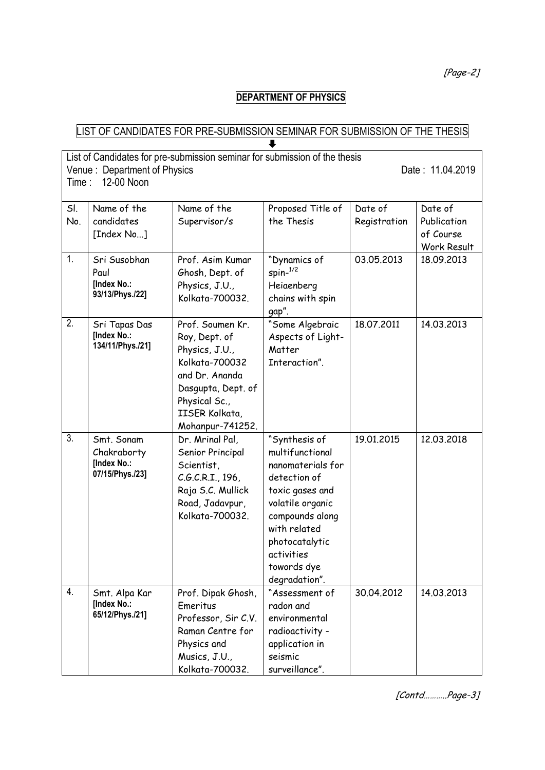[Page-2]

## **DEPARTMENT OF PHYSICS**

### LIST OF CANDIDATES FOR PRE-SUBMISSION SEMINAR FOR SUBMISSION OF THE THESIS  $\overline{\bullet}$

| List of Candidates for pre-submission seminar for submission of the thesis<br>Venue: Department of Physics<br>Date: 11.04.2019<br>12-00 Noon<br>Time: |                                                             |                                                                                                                                                                      |                                                                                                                                                                                                                 |                         |                                                    |  |
|-------------------------------------------------------------------------------------------------------------------------------------------------------|-------------------------------------------------------------|----------------------------------------------------------------------------------------------------------------------------------------------------------------------|-----------------------------------------------------------------------------------------------------------------------------------------------------------------------------------------------------------------|-------------------------|----------------------------------------------------|--|
| SI.<br>No.                                                                                                                                            | Name of the<br>candidates<br>[Index No]                     | Name of the<br>Supervisor/s                                                                                                                                          | Proposed Title of<br>the Thesis                                                                                                                                                                                 | Date of<br>Registration | Date of<br>Publication<br>of Course<br>Work Result |  |
| 1.                                                                                                                                                    | Sri Susobhan<br>Paul<br>[Index No.:<br>93/13/Phys./22]      | Prof. Asim Kumar<br>Ghosh, Dept. of<br>Physics, J.U.,<br>Kolkata-700032.                                                                                             | "Dynamics of<br>spin <sup>1/2</sup><br>Heiaenberg<br>chains with spin<br>gap".                                                                                                                                  | 03.05.2013              | 18.09.2013                                         |  |
| 2.                                                                                                                                                    | Sri Tapas Das<br>[Index No.:<br>134/11/Phys./21]            | Prof. Soumen Kr.<br>Roy, Dept. of<br>Physics, J.U.,<br>Kolkata-700032<br>and Dr. Ananda<br>Dasgupta, Dept. of<br>Physical Sc.,<br>IISER Kolkata,<br>Mohanpur-741252. | "Some Algebraic<br>Aspects of Light-<br>Matter<br>Interaction".                                                                                                                                                 | 18.07.2011              | 14.03.2013                                         |  |
| 3.                                                                                                                                                    | Smt. Sonam<br>Chakraborty<br>[Index No.:<br>07/15/Phys./23] | Dr. Mrinal Pal,<br>Senior Principal<br>Scientist,<br>C.G.C.R.I., 196,<br>Raja S.C. Mullick<br>Road, Jadavpur,<br>Kolkata-700032.                                     | "Synthesis of<br>multifunctional<br>nanomaterials for<br>detection of<br>toxic gases and<br>volatile organic<br>compounds along<br>with related<br>photocatalytic<br>activities<br>towords dye<br>degradation". | 19.01.2015              | 12.03.2018                                         |  |
| 4.                                                                                                                                                    | Smt. Alpa Kar<br>[Index No.:<br>65/12/Phys./21]             | Prof. Dipak Ghosh,<br>Emeritus<br>Professor, Sir C.V.<br>Raman Centre for<br>Physics and<br>Musics, J.U.,<br>Kolkata-700032.                                         | "Assessment of<br>radon and<br>environmental<br>radioactivity -<br>application in<br>seismic<br>surveillance".                                                                                                  | 30.04.2012              | 14.03.2013                                         |  |

[Contd………..Page-3]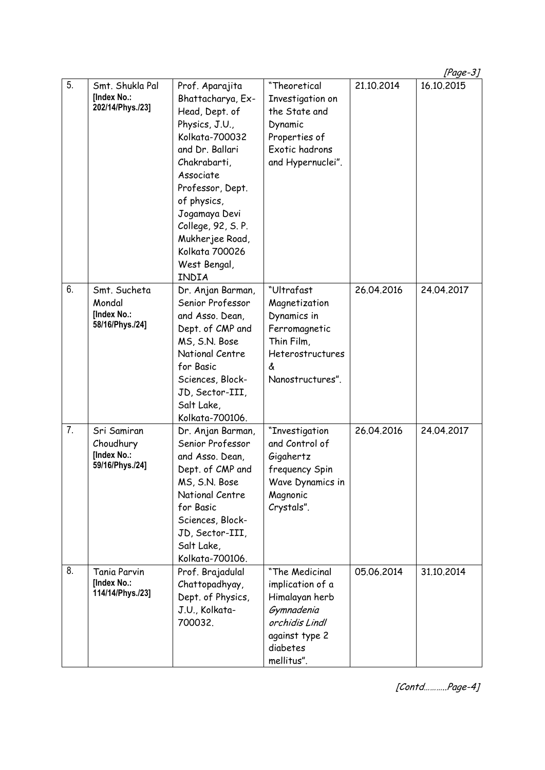|    |                                          |                                  |                        |            | [Page-3]   |
|----|------------------------------------------|----------------------------------|------------------------|------------|------------|
| 5. | Smt. Shukla Pal                          | Prof. Aparajita                  | "Theoretical           | 21.10.2014 | 16.10.2015 |
|    | [Index No.:                              | Bhattacharya, Ex-                | Investigation on       |            |            |
|    | 202/14/Phys./23]                         | Head, Dept. of                   | the State and          |            |            |
|    |                                          | Physics, J.U.,                   | Dynamic                |            |            |
|    |                                          | Kolkata-700032                   | Properties of          |            |            |
|    |                                          | and Dr. Ballari                  | Exotic hadrons         |            |            |
|    |                                          | Chakrabarti,                     | and Hypernuclei".      |            |            |
|    |                                          | Associate                        |                        |            |            |
|    |                                          | Professor, Dept.                 |                        |            |            |
|    |                                          | of physics,                      |                        |            |            |
|    |                                          | Jogamaya Devi                    |                        |            |            |
|    |                                          | College, 92, S. P.               |                        |            |            |
|    |                                          | Mukherjee Road,                  |                        |            |            |
|    |                                          | Kolkata 700026                   |                        |            |            |
|    |                                          | West Bengal,                     |                        |            |            |
|    |                                          | INDIA                            |                        |            |            |
| 6. | Smt. Sucheta                             | Dr. Anjan Barman,                | "Ultrafast             | 26.04.2016 | 24.04.2017 |
|    | Mondal<br>[Index No.:<br>58/16/Phys./24] | Senior Professor                 | Magnetization          |            |            |
|    |                                          | and Asso. Dean,                  | Dynamics in            |            |            |
|    |                                          | Dept. of CMP and                 | Ferromagnetic          |            |            |
|    |                                          | MS, S.N. Bose                    | Thin Film,             |            |            |
|    |                                          | National Centre                  | Heterostructures       |            |            |
|    |                                          | for Basic                        | &                      |            |            |
|    |                                          | Sciences, Block-                 | Nanostructures".       |            |            |
|    |                                          | JD, Sector-III,                  |                        |            |            |
|    |                                          | Salt Lake,                       |                        |            |            |
| 7. |                                          | Kolkata-700106.                  |                        |            |            |
|    | Sri Samiran                              | Dr. Anjan Barman,                | "Investigation         | 26.04.2016 | 24.04.2017 |
|    | Choudhury<br>[Index No.:                 | Senior Professor                 | and Control of         |            |            |
|    | 59/16/Phys./24]                          | and Asso. Dean,                  | Gigahertz              |            |            |
|    |                                          | Dept. of CMP and                 | frequency Spin         |            |            |
|    |                                          | MS, S.N. Bose<br>National Centre | Wave Dynamics in       |            |            |
|    |                                          | for Basic                        | Magnonic<br>Crystals". |            |            |
|    |                                          | Sciences, Block-                 |                        |            |            |
|    |                                          | JD, Sector-III,                  |                        |            |            |
|    |                                          | Salt Lake,                       |                        |            |            |
|    |                                          | Kolkata-700106.                  |                        |            |            |
| 8. | <b>Tania Parvin</b>                      | Prof. Brajadulal                 | "The Medicinal         | 05.06.2014 | 31.10.2014 |
|    | [Index No.:                              | Chattopadhyay,                   | implication of a       |            |            |
|    | 114/14/Phys./23]                         | Dept. of Physics,                | Himalayan herb         |            |            |
|    |                                          | J.U., Kolkata-                   | Gymnadenia             |            |            |
|    |                                          | 700032.                          | orchidis Lindl         |            |            |
|    |                                          |                                  | against type 2         |            |            |
|    |                                          |                                  | diabetes               |            |            |
|    |                                          |                                  | mellitus".             |            |            |

[Contd………..Page-4]